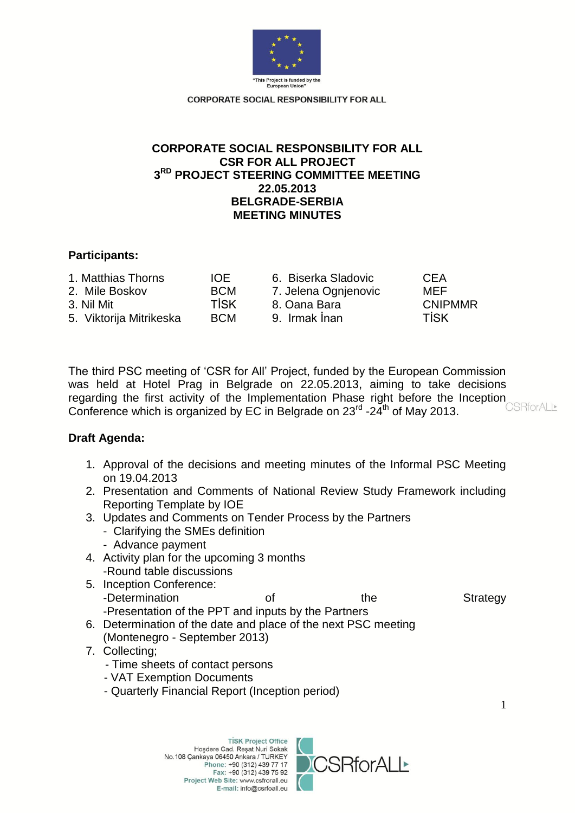

# **CORPORATE SOCIAL RESPONSBILITY FOR ALL CSR FOR ALL PROJECT 3 RD PROJECT STEERING COMMITTEE MEETING 22.05.2013 BELGRADE-SERBIA MEETING MINUTES**

## **Participants:**

| IOE.        | <b>CFA</b>                                                                   |
|-------------|------------------------------------------------------------------------------|
| <b>BCM</b>  | MEF                                                                          |
| <b>TİSK</b> | <b>CNIPMMR</b>                                                               |
| <b>BCM</b>  | <b>TİSK</b>                                                                  |
|             | 6. Biserka Sladovic<br>7. Jelena Ognjenovic<br>8. Oana Bara<br>9. Irmak İnan |

The third PSC meeting of 'CSR for All' Project, funded by the European Commission was held at Hotel Prag in Belgrade on 22.05.2013, aiming to take decisions regarding the first activity of the Implementation Phase right before the Inception CSRforALL Conference which is organized by EC in Belgrade on  $23^{\text{rd}}$  -24<sup>th</sup> of May 2013.

## **Draft Agenda:**

- 1. Approval of the decisions and meeting minutes of the Informal PSC Meeting on 19.04.2013
- 2. Presentation and Comments of National Review Study Framework including Reporting Template by IOE
- 3. Updates and Comments on Tender Process by the Partners
	- Clarifying the SMEs definition
	- Advance payment
- 4. Activity plan for the upcoming 3 months -Round table discussions
- 5. Inception Conference: -Determination of the Strategy -Presentation of the PPT and inputs by the Partners
- 6. Determination of the date and place of the next PSC meeting (Montenegro - September 2013)
- 7. Collecting;
	- Time sheets of contact persons
	- VAT Exemption Documents
	- Quarterly Financial Report (Inception period)

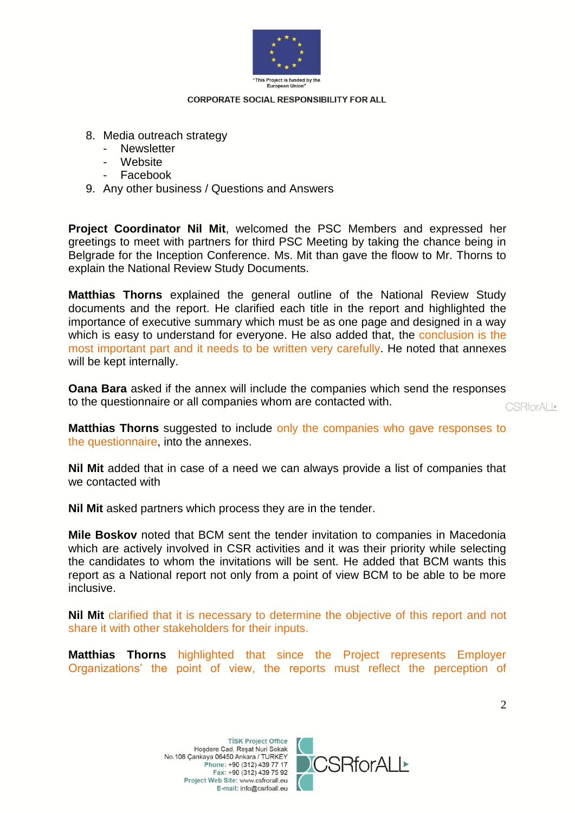

- 8. Media outreach strategy
	- Newsletter
	- Website
	- Facebook
- 9. Any other business / Questions and Answers

**Project Coordinator Nil Mit**, welcomed the PSC Members and expressed her greetings to meet with partners for third PSC Meeting by taking the chance being in Belgrade for the Inception Conference. Ms. Mit than gave the floow to Mr. Thorns to explain the National Review Study Documents.

**Matthias Thorns** explained the general outline of the National Review Study documents and the report. He clarified each title in the report and highlighted the importance of executive summary which must be as one page and designed in a way which is easy to understand for everyone. He also added that, the conclusion is the most important part and it needs to be written very carefully. He noted that annexes will be kept internally.

**Oana Bara** asked if the annex will include the companies which send the responses to the questionnaire or all companies whom are contacted with.

CSRforALI\*

**Matthias Thorns** suggested to include only the companies who gave responses to the questionnaire, into the annexes.

**Nil Mit** added that in case of a need we can always provide a list of companies that we contacted with

**Nil Mit** asked partners which process they are in the tender.

**Mile Boskov** noted that BCM sent the tender invitation to companies in Macedonia which are actively involved in CSR activities and it was their priority while selecting the candidates to whom the invitations will be sent. He added that BCM wants this report as a National report not only from a point of view BCM to be able to be more inclusive.

**Nil Mit** clarified that it is necessary to determine the objective of this report and not share it with other stakeholders for their inputs.

**Matthias Thorns** highlighted that since the Project represents Employer Organizations' the point of view, the reports must reflect the perception of

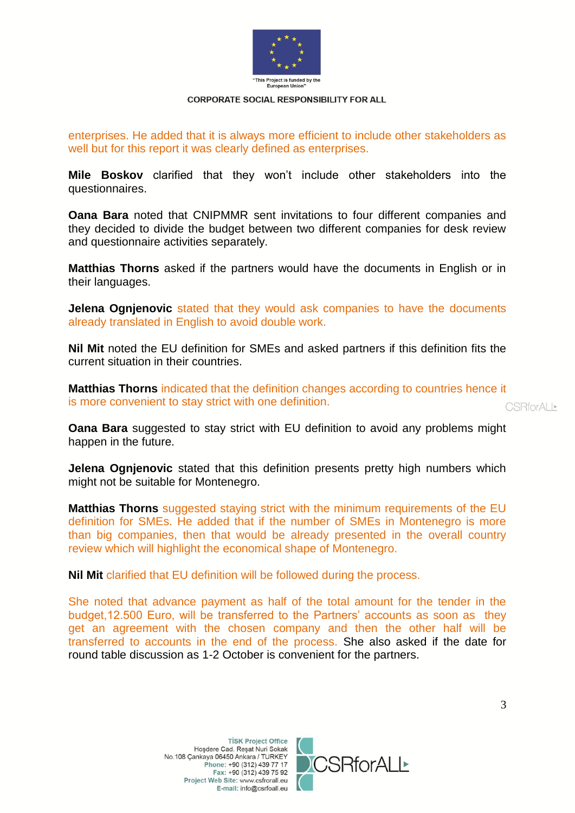

enterprises. He added that it is always more efficient to include other stakeholders as well but for this report it was clearly defined as enterprises.

**Mile Boskov** clarified that they won't include other stakeholders into the questionnaires.

**Oana Bara** noted that CNIPMMR sent invitations to four different companies and they decided to divide the budget between two different companies for desk review and questionnaire activities separately.

**Matthias Thorns** asked if the partners would have the documents in English or in their languages.

**Jelena Ognjenovic** stated that they would ask companies to have the documents already translated in English to avoid double work.

**Nil Mit** noted the EU definition for SMEs and asked partners if this definition fits the current situation in their countries.

**Matthias Thorns** indicated that the definition changes according to countries hence it is more convenient to stay strict with one definition.

**CSRforALL\*** 

**Oana Bara** suggested to stay strict with EU definition to avoid any problems might happen in the future.

**Jelena Ognjenovic** stated that this definition presents pretty high numbers which might not be suitable for Montenegro.

**Matthias Thorns** suggested staying strict with the minimum requirements of the EU definition for SMEs. He added that if the number of SMEs in Montenegro is more than big companies, then that would be already presented in the overall country review which will highlight the economical shape of Montenegro.

**Nil Mit** clarified that EU definition will be followed during the process.

She noted that advance payment as half of the total amount for the tender in the budget,12.500 Euro, will be transferred to the Partners' accounts as soon as they get an agreement with the chosen company and then the other half will be transferred to accounts in the end of the process. She also asked if the date for round table discussion as 1-2 October is convenient for the partners.

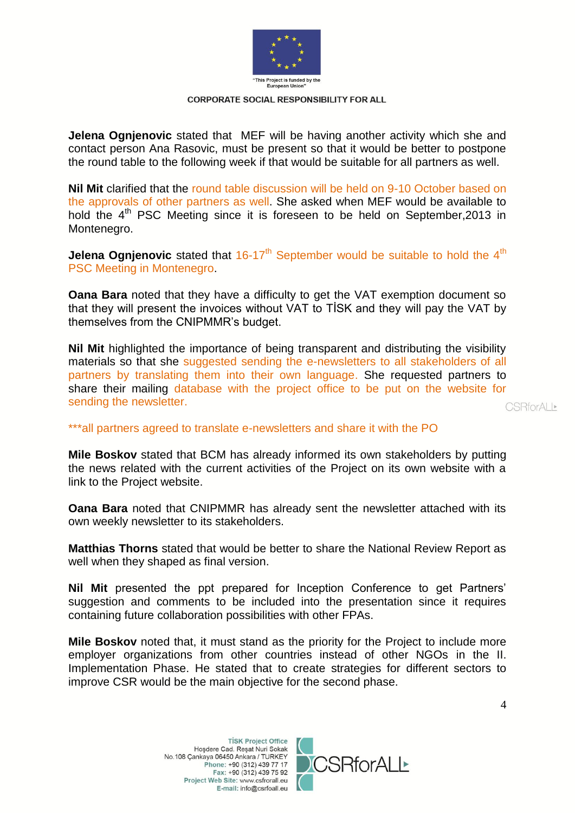

**Jelena Ognjenovic** stated that MEF will be having another activity which she and contact person Ana Rasovic, must be present so that it would be better to postpone the round table to the following week if that would be suitable for all partners as well.

**Nil Mit** clarified that the round table discussion will be held on 9-10 October based on the approvals of other partners as well. She asked when MEF would be available to hold the 4<sup>th</sup> PSC Meeting since it is foreseen to be held on September, 2013 in Montenegro.

**Jelena Ognjenovic** stated that 16-17<sup>th</sup> September would be suitable to hold the 4<sup>th</sup> PSC Meeting in Montenegro.

**Oana Bara** noted that they have a difficulty to get the VAT exemption document so that they will present the invoices without VAT to TİSK and they will pay the VAT by themselves from the CNIPMMR's budget.

**Nil Mit** highlighted the importance of being transparent and distributing the visibility materials so that she suggested sending the e-newsletters to all stakeholders of all partners by translating them into their own language. She requested partners to share their mailing database with the project office to be put on the website for sending the newsletter.

**CSRforALL\*** 

### \*\*\*all partners agreed to translate e-newsletters and share it with the PO

**Mile Boskov** stated that BCM has already informed its own stakeholders by putting the news related with the current activities of the Project on its own website with a link to the Project website.

**Oana Bara** noted that CNIPMMR has already sent the newsletter attached with its own weekly newsletter to its stakeholders.

**Matthias Thorns** stated that would be better to share the National Review Report as well when they shaped as final version.

**Nil Mit** presented the ppt prepared for Inception Conference to get Partners' suggestion and comments to be included into the presentation since it requires containing future collaboration possibilities with other FPAs.

**Mile Boskov** noted that, it must stand as the priority for the Project to include more employer organizations from other countries instead of other NGOs in the II. Implementation Phase. He stated that to create strategies for different sectors to improve CSR would be the main objective for the second phase.

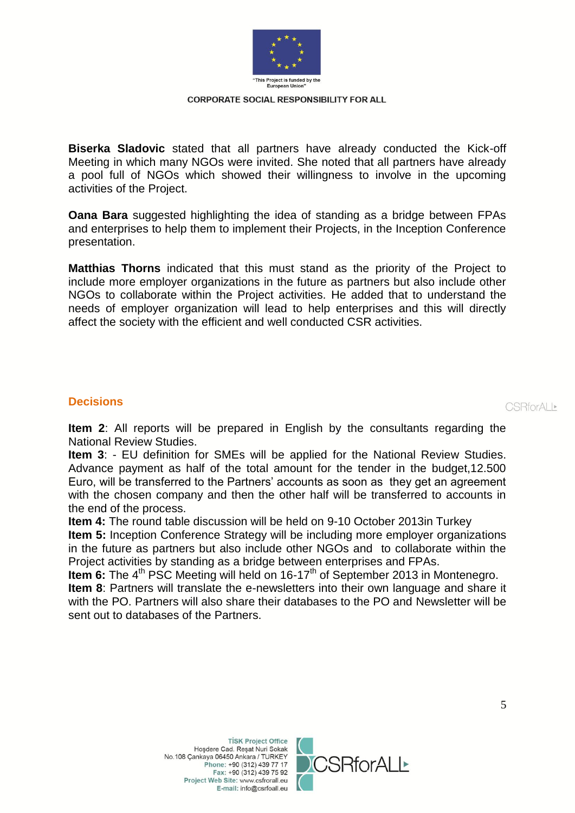

**Biserka Sladovic** stated that all partners have already conducted the Kick-off Meeting in which many NGOs were invited. She noted that all partners have already a pool full of NGOs which showed their willingness to involve in the upcoming activities of the Project.

**Oana Bara** suggested highlighting the idea of standing as a bridge between FPAs and enterprises to help them to implement their Projects, in the Inception Conference presentation.

**Matthias Thorns** indicated that this must stand as the priority of the Project to include more employer organizations in the future as partners but also include other NGOs to collaborate within the Project activities. He added that to understand the needs of employer organization will lead to help enterprises and this will directly affect the society with the efficient and well conducted CSR activities.

### **Decisions**

CSRforALI<sup>®</sup>

**Item 2**: All reports will be prepared in English by the consultants regarding the National Review Studies.

**Item 3**: - EU definition for SMEs will be applied for the National Review Studies. Advance payment as half of the total amount for the tender in the budget,12.500 Euro, will be transferred to the Partners' accounts as soon as they get an agreement with the chosen company and then the other half will be transferred to accounts in the end of the process.

**Item 4:** The round table discussion will be held on 9-10 October 2013in Turkey **Item 5:** Inception Conference Strategy will be including more employer organizations in the future as partners but also include other NGOs and to collaborate within the Project activities by standing as a bridge between enterprises and FPAs.

**Item 6:** The 4<sup>th</sup> PSC Meeting will held on 16-17<sup>th</sup> of September 2013 in Montenegro. **Item 8**: Partners will translate the e-newsletters into their own language and share it with the PO. Partners will also share their databases to the PO and Newsletter will be sent out to databases of the Partners.

> **TİSK Project Office** Hoşdere Cad. Reşat Nuri Sokak No.108 Çankaya 06450 Ankara / TURKEY Phone: +90 (312) 439 77 17 Fax: +90 (312) 439 75 92 Project Web Site: www.csfrorall.eu E-mail: info@csrfoall.eu